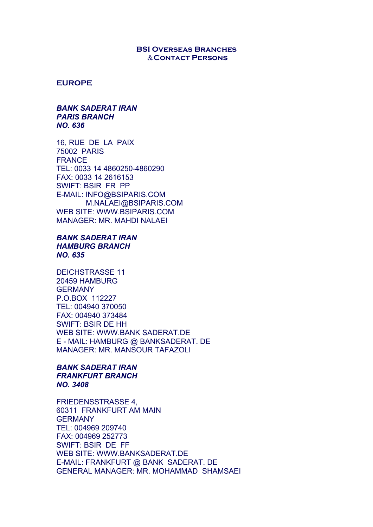### **BSI Overseas Branches** &**Contact Persons**

#### **EUROPE**

### *BANK SADERAT IRAN PARIS BRANCH NO. 636*

16, RUE DE LA PAIX 75002 PARIS FRANCE TEL: 0033 14 4860250-4860290 FAX: 0033 14 2616153 SWIFT: BSIR FR PP E-MAIL: INFO@BSIPARIS.COM M.NALAEI@BSIPARIS.COM WEB SITE: WWW.BSIPARIS.COM MANAGER: MR. MAHDI NALAEI

# *BANK SADERAT IRAN HAMBURG BRANCH NO. 635*

DEICHSTRASSE 11 20459 HAMBURG **GERMANY** P.O.BOX 112227 TEL: 004940 370050 FAX: 004940 373484 SWIFT: BSIR DE HH WEB SITE: WWW.BANK SADERAT.DE E - MAIL: HAMBURG @ BANKSADERAT. DE MANAGER: MR. MANSOUR TAFAZOLI

# *BANK SADERAT IRAN FRANKFURT BRANCH NO. 3408*

FRIEDENSSTRASSE 4, 60311 FRANKFURT AM MAIN GERMANY TEL: 004969 209740 FAX: 004969 252773 SWIFT: BSIR DE FF WEB SITE: WWW.BANKSADERAT.DE E-MAIL: FRANKFURT @ BANK SADERAT. DE GENERAL MANAGER: MR. MOHAMMAD SHAMSAEI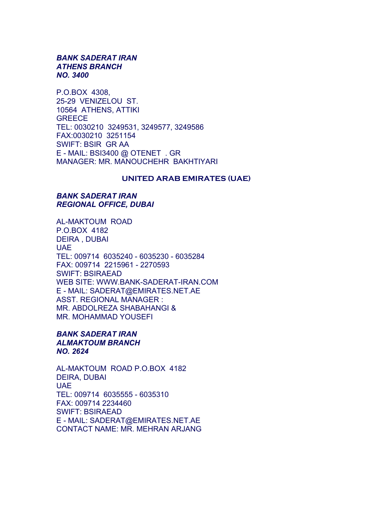# *BANK SADERAT IRAN ATHENS BRANCH NO. 3400*

P.O.BOX 4308, 25-29 VENIZELOU ST. 10564 ATHENS, ATTIKI **GREECE** TEL: 0030210 3249531, 3249577, 3249586 FAX:0030210 3251154 SWIFT: BSIR GR AA E - MAIL: BSI3400 @ OTENET . GR MANAGER: MR. MANOUCHEHR BAKHTIYARI

### **UNITED ARAB EMIRATES (UAE)**

# *BANK SADERAT IRAN REGIONAL OFFICE, DUBAI*

AL-MAKTOUM ROAD P.O.BOX 4182 DEIRA , DUBAI UAE TEL: 009714 6035240 - 6035230 - 6035284 FAX: 009714 2215961 - 2270593 SWIFT: BSIRAEAD WEB SITE: WWW.BANK-SADERAT-IRAN.COM E - MAIL: SADERAT@EMIRATES.NET.AE ASST. REGIONAL MANAGER : MR. ABDOLREZA SHABAHANGI & MR. MOHAMMAD YOUSEFI

### *BANK SADERAT IRAN ALMAKTOUM BRANCH NO. 2624*

AL-MAKTOUM ROAD P.O.BOX 4182 DEIRA, DUBAI UAE TEL: 009714 6035555 - 6035310 FAX: 009714 2234460 SWIFT: BSIRAEAD E - MAIL: SADERAT@EMIRATES.NET.AE CONTACT NAME: MR. MEHRAN ARJANG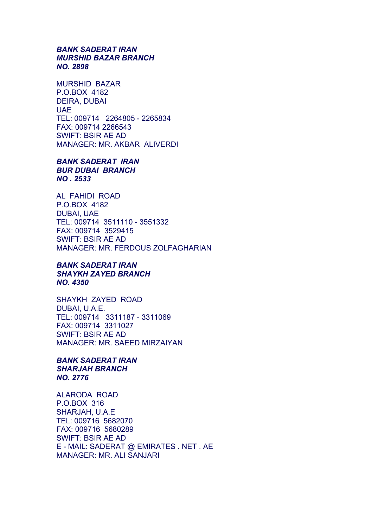# *BANK SADERAT IRAN MURSHID BAZAR BRANCH NO. 2898*

MURSHID BAZAR P.O.BOX 4182 DEIRA, DUBAI **UAE** TEL: 009714 2264805 - 2265834 FAX: 009714 2266543 SWIFT: BSIR AE AD MANAGER: MR. AKBAR ALIVERDI

*BANK SADERAT IRAN BUR DUBAI BRANCH NO . 2533*

AL FAHIDI ROAD P.O.BOX 4182 DUBAI, UAE TEL: 009714 3511110 - 3551332 FAX: 009714 3529415 SWIFT: BSIR AE AD MANAGER: MR. FERDOUS ZOLFAGHARIAN

# *BANK SADERAT IRAN SHAYKH ZAYED BRANCH NO. 4350*

SHAYKH ZAYED ROAD DUBAI, U.A.E. TEL: 009714 3311187 - 3311069 FAX: 009714 3311027 SWIFT: BSIR AE AD MANAGER: MR. SAEED MIRZAIYAN

# *BANK SADERAT IRAN SHARJAH BRANCH NO. 2776*

ALARODA ROAD P.O.BOX 316 SHARJAH, U.A.E TEL: 009716 5682070 FAX: 009716 5680289 SWIFT: BSIR AE AD E - MAIL: SADERAT @ EMIRATES . NET . AE MANAGER: MR. ALI SANJARI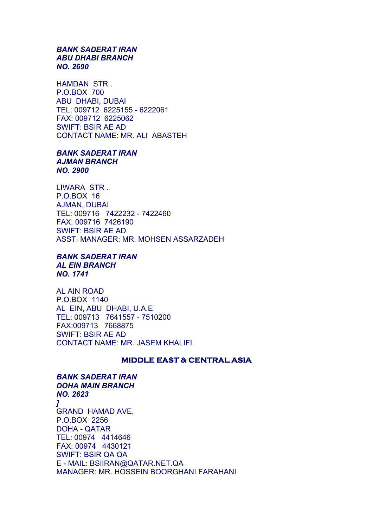### *BANK SADERAT IRAN ABU DHABI BRANCH NO. 2690*

HAMDAN STR . P.O.BOX 700 ABU DHABI, DUBAI TEL: 009712 6225155 - 6222061 FAX: 009712 6225062 SWIFT: BSIR AE AD CONTACT NAME: MR. ALI ABASTEH

### *BANK SADERAT IRAN AJMAN BRANCH NO. 2900*

LIWARA STR . P.O.BOX 16 AJMAN, DUBAI TEL: 009716 7422232 - 7422460 FAX: 009716 7426190 SWIFT: BSIR AE AD ASST. MANAGER: MR. MOHSEN ASSARZADEH

#### *BANK SADERAT IRAN AL EIN BRANCH NO. 1741*

AL AIN ROAD P.O.BOX 1140 AL EIN, ABU DHABI, U.A.E TEL: 009713 7641557 - 7510200 FAX:009713 7668875 SWIFT: BSIR AE AD CONTACT NAME: MR. JASEM KHALIFI

# **MIDDLE EAST & CENTRAL ASIA**

# *BANK SADERAT IRAN DOHA MAIN BRANCH NO. 2623 ]*  GRAND HAMAD AVE, P.O.BOX 2256 DOHA - QATAR TEL: 00974 4414646 FAX: 00974 4430121 SWIFT: BSIR QA QA E - MAIL: BSIIRAN@QATAR.NET.QA MANAGER: MR. HOSSEIN BOORGHANI FARAHANI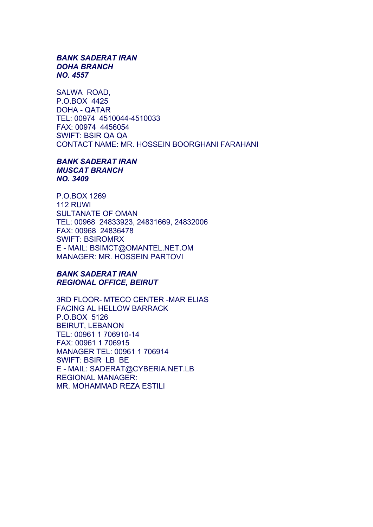### *BANK SADERAT IRAN DOHA BRANCH NO. 4557*

SALWA ROAD, P.O.BOX 4425 DOHA - QATAR TEL: 00974 4510044-4510033 FAX: 00974 4456054 SWIFT: BSIR QA QA CONTACT NAME: MR. HOSSEIN BOORGHANI FARAHANI

*BANK SADERAT IRAN MUSCAT BRANCH NO. 3409* 

P.O.BOX 1269 112 RUWI SULTANATE OF OMAN TEL: 00968 24833923, 24831669, 24832006 FAX: 00968 24836478 SWIFT: BSIROMRX E - MAIL: BSIMCT@OMANTEL.NET.OM MANAGER: MR. HOSSEIN PARTOVI

# *BANK SADERAT IRAN REGIONAL OFFICE, BEIRUT*

3RD FLOOR- MTECO CENTER -MAR ELIAS FACING AL HELLOW BARRACK P.O.BOX 5126 BEIRUT, LEBANON TEL: 00961 1 706910-14 FAX: 00961 1 706915 MANAGER TEL: 00961 1 706914 SWIFT: BSIR LB BE E - MAIL: SADERAT@CYBERIA.NET.LB REGIONAL MANAGER: MR. MOHAMMAD REZA ESTILI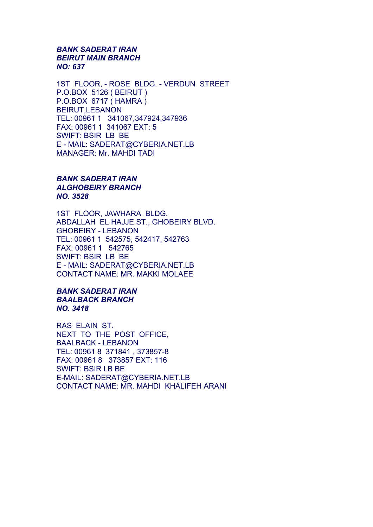# *BANK SADERAT IRAN BEIRUT MAIN BRANCH NO: 637*

1ST FLOOR, - ROSE BLDG. - VERDUN STREET P.O.BOX 5126 ( BEIRUT ) P.O.BOX 6717 ( HAMRA ) BEIRUT,LEBANON TEL: 00961 1 341067,347924,347936 FAX: 00961 1 341067 EXT: 5 SWIFT: BSIR LB BE E - MAIL: SADERAT@CYBERIA.NET.LB MANAGER: Mr. MAHDI TADI

# *BANK SADERAT IRAN ALGHOBEIRY BRANCH NO. 3528*

1ST FLOOR, JAWHARA BLDG. ABDALLAH EL HAJJE ST., GHOBEIRY BLVD. GHOBEIRY - LEBANON TEL: 00961 1 542575, 542417, 542763 FAX: 00961 1 542765 SWIFT: BSIR LB BE E - MAIL: SADERAT@CYBERIA.NET.LB CONTACT NAME: MR. MAKKI MOLAEE

# *BANK SADERAT IRAN BAALBACK BRANCH NO. 3418*

RAS ELAIN ST. NEXT TO THE POST OFFICE, BAALBACK - LEBANON TEL: 00961 8 371841 , 373857-8 FAX: 00961 8 373857 EXT: 116 SWIFT: BSIR LB BE E-MAIL: SADERAT@CYBERIA.NET.LB CONTACT NAME: MR. MAHDI KHALIFEH ARANI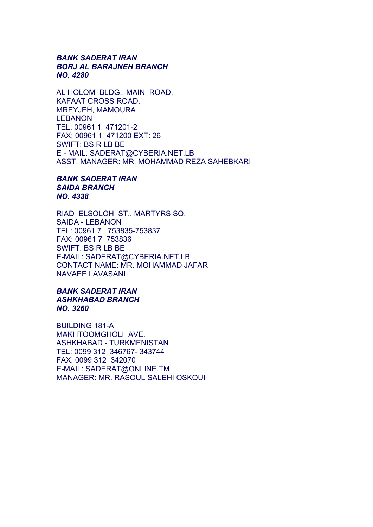# *BANK SADERAT IRAN BORJ AL BARAJNEH BRANCH NO. 4280*

AL HOLOM BLDG., MAIN ROAD, KAFAAT CROSS ROAD, MREYJEH, MAMOURA LEBANON TEL: 00961 1 471201-2 FAX: 00961 1 471200 EXT: 26 SWIFT: BSIR LB BE E - MAIL: SADERAT@CYBERIA.NET.LB ASST. MANAGER: MR. MOHAMMAD REZA SAHEBKARI

# *BANK SADERAT IRAN SAIDA BRANCH NO. 4338*

RIAD ELSOLOH ST., MARTYRS SQ. SAIDA - LEBANON TEL: 00961 7 753835-753837 FAX: 00961 7 753836 SWIFT: BSIR LB BE E-MAIL: SADERAT@CYBERIA.NET.LB CONTACT NAME: MR. MOHAMMAD JAFAR NAVAEE LAVASANI

# *BANK SADERAT IRAN ASHKHABAD BRANCH NO. 3260*

BUILDING 181-A MAKHTOOMGHOLI AVE. ASHKHABAD - TURKMENISTAN TEL: 0099 312 346767- 343744 FAX: 0099 312 342070 E-MAIL: SADERAT@ONLINE.TM MANAGER: MR. RASOUL SALEHI OSKOUI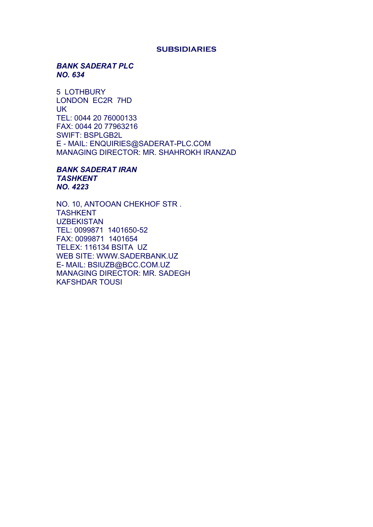#### **SUBSIDIARIES**

# *BANK SADERAT PLC NO. 634*

5 LOTHBURY LONDON EC2R 7HD UK TEL: 0044 20 76000133 FAX: 0044 20 77963216 SWIFT: BSPLGB2L E - MAIL: ENQUIRIES@SADERAT-PLC.COM MANAGING DIRECTOR: MR. SHAHROKH IRANZAD

*BANK SADERAT IRAN TASHKENT NO. 4223* 

NO. 10, ANTOOAN CHEKHOF STR . **TASHKENT UZBEKISTAN** TEL: 0099871 1401650-52 FAX: 0099871 1401654 TELEX: 116134 BSITA UZ WEB SITE: WWW.SADERBANK.UZ E- MAIL: BSIUZB@BCC.COM.UZ MANAGING DIRECTOR: MR. SADEGH KAFSHDAR TOUSI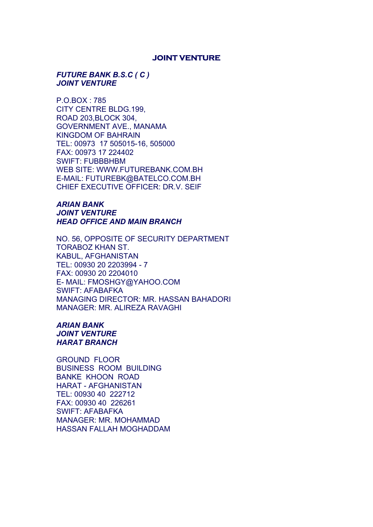### **JOINT VENTURE**

### *FUTURE BANK B.S.C ( C ) JOINT VENTURE*

P.O.BOX : 785 CITY CENTRE BLDG.199, ROAD 203,BLOCK 304, GOVERNMENT AVE., MANAMA KINGDOM OF BAHRAIN TEL: 00973 17 505015-16, 505000 FAX: 00973 17 224402 SWIFT: FUBBBHBM WEB SITE: WWW.FUTUREBANK.COM.BH E-MAIL: FUTUREBK@BATELCO.COM.BH CHIEF EXECUTIVE OFFICER: DR.V. SEIF

# *ARIAN BANK JOINT VENTURE HEAD OFFICE AND MAIN BRANCH*

NO. 56, OPPOSITE OF SECURITY DEPARTMENT TORABOZ KHAN ST. KABUL, AFGHANISTAN TEL: 00930 20 2203994 - 7 FAX: 00930 20 2204010 E- MAIL: FMOSHGY@YAHOO.COM SWIFT: AFABAFKA MANAGING DIRECTOR: MR. HASSAN BAHADORI MANAGER: MR. ALIREZA RAVAGHI

# *ARIAN BANK JOINT VENTURE HARAT BRANCH*

GROUND FLOOR BUSINESS ROOM BUILDING BANKE KHOON ROAD HARAT - AFGHANISTAN TEL: 00930 40 222712 FAX: 00930 40 226261 SWIFT: AFABAFKA MANAGER: MR. MOHAMMAD HASSAN FALLAH MOGHADDAM